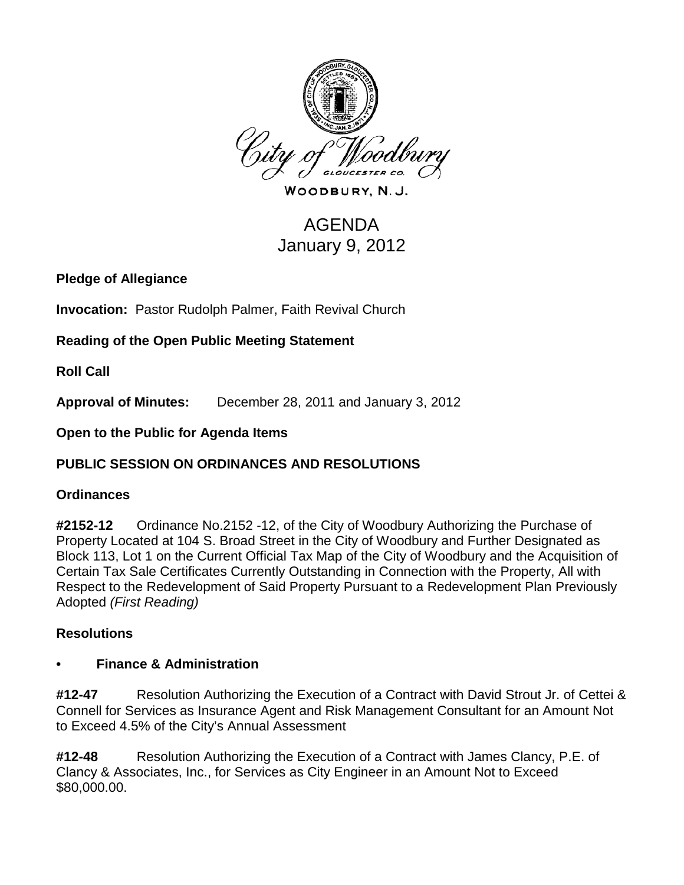

WOODBURY, N.J.

# AGENDA January 9, 2012

**Pledge of Allegiance**

**Invocation:** Pastor Rudolph Palmer, Faith Revival Church

**Reading of the Open Public Meeting Statement**

**Roll Call**

**Approval of Minutes:** December 28, 2011 and January 3, 2012

**Open to the Public for Agenda Items**

## **PUBLIC SESSION ON ORDINANCES AND RESOLUTIONS**

#### **Ordinances**

**#2152-12** Ordinance No.2152 -12, of the City of Woodbury Authorizing the Purchase of Property Located at 104 S. Broad Street in the City of Woodbury and Further Designated as Block 113, Lot 1 on the Current Official Tax Map of the City of Woodbury and the Acquisition of Certain Tax Sale Certificates Currently Outstanding in Connection with the Property, All with Respect to the Redevelopment of Said Property Pursuant to a Redevelopment Plan Previously Adopted *(First Reading)*

## **Resolutions**

#### **• Finance & Administration**

**#12-47** Resolution Authorizing the Execution of a Contract with David Strout Jr. of Cettei & Connell for Services as Insurance Agent and Risk Management Consultant for an Amount Not to Exceed 4.5% of the City's Annual Assessment

**#12-48** Resolution Authorizing the Execution of a Contract with James Clancy, P.E. of Clancy & Associates, Inc., for Services as City Engineer in an Amount Not to Exceed \$80,000.00.